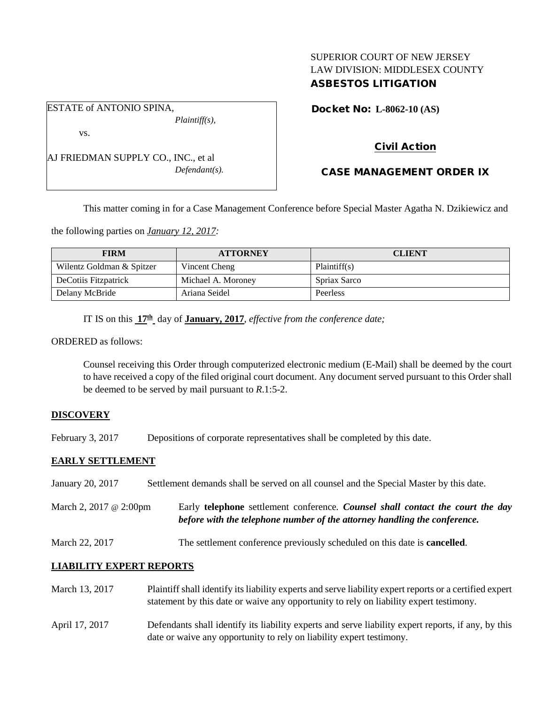## SUPERIOR COURT OF NEW JERSEY LAW DIVISION: MIDDLESEX COUNTY ASBESTOS LITIGATION

ESTATE of ANTONIO SPINA, *Plaintiff(s),* vs.

AJ FRIEDMAN SUPPLY CO., INC., et al *Defendant(s).* Docket No: **L-8062-10 (AS)** 

# Civil Action

# CASE MANAGEMENT ORDER IX

This matter coming in for a Case Management Conference before Special Master Agatha N. Dzikiewicz and

the following parties on *January 12, 2017:*

| <b>FIRM</b>               | <b>ATTORNEY</b>    | <b>CLIENT</b> |
|---------------------------|--------------------|---------------|
| Wilentz Goldman & Spitzer | Vincent Cheng      | Plaintiff(s)  |
| DeCotiis Fitzpatrick      | Michael A. Moroney | Spriax Sarco  |
| Delany McBride            | Ariana Seidel      | Peerless      |

IT IS on this **17th** day of **January, 2017**, *effective from the conference date;*

ORDERED as follows:

Counsel receiving this Order through computerized electronic medium (E-Mail) shall be deemed by the court to have received a copy of the filed original court document. Any document served pursuant to this Order shall be deemed to be served by mail pursuant to *R*.1:5-2.

### **DISCOVERY**

February 3, 2017 Depositions of corporate representatives shall be completed by this date.

### **EARLY SETTLEMENT**

January 20, 2017 Settlement demands shall be served on all counsel and the Special Master by this date. March 2, 2017 @ 2:00pm Early **telephone** settlement conference*. Counsel shall contact the court the day before with the telephone number of the attorney handling the conference.* March 22, 2017 The settlement conference previously scheduled on this date is **cancelled**.

### **LIABILITY EXPERT REPORTS**

| March 13, 2017 | Plaintiff shall identify its liability experts and serve liability expert reports or a certified expert<br>statement by this date or waive any opportunity to rely on liability expert testimony. |
|----------------|---------------------------------------------------------------------------------------------------------------------------------------------------------------------------------------------------|
| April 17, 2017 | Defendants shall identify its liability experts and serve liability expert reports, if any, by this<br>date or waive any opportunity to rely on liability expert testimony.                       |